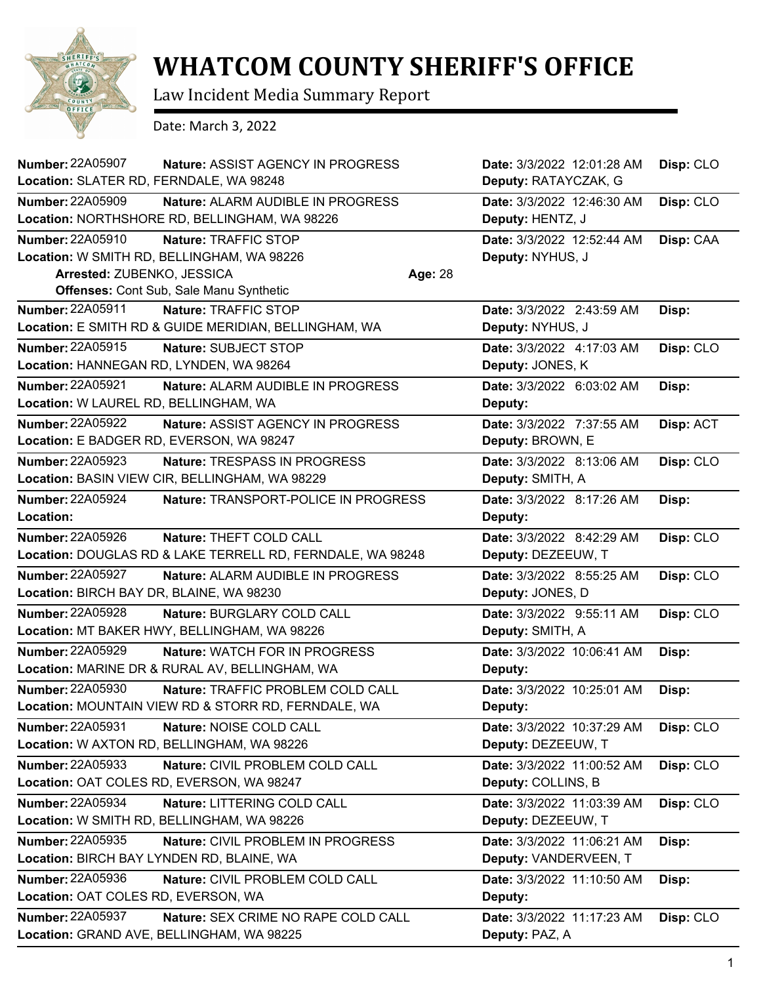

## **WHATCOM COUNTY SHERIFF'S OFFICE**

Law Incident Media Summary Report

Date: March 3, 2022

| <b>Number: 22A05907</b><br>Location: SLATER RD, FERNDALE, WA 98248 | Nature: ASSIST AGENCY IN PROGRESS                          |         | Date: 3/3/2022 12:01:28 AM<br>Deputy: RATAYCZAK, G | Disp: CLO |
|--------------------------------------------------------------------|------------------------------------------------------------|---------|----------------------------------------------------|-----------|
| <b>Number: 22A05909</b>                                            | <b>Nature: ALARM AUDIBLE IN PROGRESS</b>                   |         | Date: 3/3/2022 12:46:30 AM                         | Disp: CLO |
|                                                                    | Location: NORTHSHORE RD, BELLINGHAM, WA 98226              |         | Deputy: HENTZ, J                                   |           |
| <b>Number: 22A05910</b>                                            | Nature: TRAFFIC STOP                                       |         | Date: 3/3/2022 12:52:44 AM                         | Disp: CAA |
|                                                                    | Location: W SMITH RD, BELLINGHAM, WA 98226                 |         | Deputy: NYHUS, J                                   |           |
| Arrested: ZUBENKO, JESSICA                                         |                                                            | Age: 28 |                                                    |           |
|                                                                    | <b>Offenses: Cont Sub, Sale Manu Synthetic</b>             |         |                                                    |           |
| Number: 22A05911                                                   | Nature: TRAFFIC STOP                                       |         | Date: 3/3/2022 2:43:59 AM                          | Disp:     |
|                                                                    | Location: E SMITH RD & GUIDE MERIDIAN, BELLINGHAM, WA      |         | Deputy: NYHUS, J                                   |           |
| <b>Number: 22A05915</b>                                            | Nature: SUBJECT STOP                                       |         | Date: 3/3/2022 4:17:03 AM                          | Disp: CLO |
| Location: HANNEGAN RD, LYNDEN, WA 98264                            |                                                            |         | Deputy: JONES, K                                   |           |
| <b>Number: 22A05921</b>                                            | Nature: ALARM AUDIBLE IN PROGRESS                          |         | Date: 3/3/2022 6:03:02 AM                          | Disp:     |
| Location: W LAUREL RD, BELLINGHAM, WA                              |                                                            |         | Deputy:                                            |           |
| <b>Number: 22A05922</b>                                            | Nature: ASSIST AGENCY IN PROGRESS                          |         | Date: 3/3/2022 7:37:55 AM                          | Disp: ACT |
|                                                                    | Location: E BADGER RD, EVERSON, WA 98247                   |         | Deputy: BROWN, E                                   |           |
| <b>Number: 22A05923</b>                                            | Nature: TRESPASS IN PROGRESS                               |         | Date: 3/3/2022 8:13:06 AM                          | Disp: CLO |
|                                                                    | Location: BASIN VIEW CIR, BELLINGHAM, WA 98229             |         | Deputy: SMITH, A                                   |           |
| <b>Number: 22A05924</b>                                            | Nature: TRANSPORT-POLICE IN PROGRESS                       |         | Date: 3/3/2022 8:17:26 AM                          | Disp:     |
| Location:                                                          |                                                            |         | Deputy:                                            |           |
| <b>Number: 22A05926</b>                                            | Nature: THEFT COLD CALL                                    |         | Date: 3/3/2022 8:42:29 AM                          | Disp: CLO |
|                                                                    | Location: DOUGLAS RD & LAKE TERRELL RD, FERNDALE, WA 98248 |         | Deputy: DEZEEUW, T                                 |           |
| <b>Number: 22A05927</b>                                            | Nature: ALARM AUDIBLE IN PROGRESS                          |         | Date: 3/3/2022 8:55:25 AM                          | Disp: CLO |
| Location: BIRCH BAY DR, BLAINE, WA 98230                           |                                                            |         | Deputy: JONES, D                                   |           |
| Number: 22A05928                                                   | Nature: BURGLARY COLD CALL                                 |         | Date: 3/3/2022 9:55:11 AM                          | Disp: CLO |
|                                                                    | Location: MT BAKER HWY, BELLINGHAM, WA 98226               |         | Deputy: SMITH, A                                   |           |
| <b>Number: 22A05929</b>                                            | Nature: WATCH FOR IN PROGRESS                              |         | Date: 3/3/2022 10:06:41 AM                         | Disp:     |
|                                                                    | Location: MARINE DR & RURAL AV, BELLINGHAM, WA             |         | Deputy:                                            |           |
| <b>Number: 22A05930</b>                                            | Nature: TRAFFIC PROBLEM COLD CALL                          |         | Date: 3/3/2022 10:25:01 AM                         | Disp:     |
|                                                                    | Location: MOUNTAIN VIEW RD & STORR RD, FERNDALE, WA        |         | Deputy:                                            |           |
| <b>Number: 22A05931</b>                                            | Nature: NOISE COLD CALL                                    |         | Date: 3/3/2022 10:37:29 AM                         | Disp: CLO |
|                                                                    | Location: W AXTON RD, BELLINGHAM, WA 98226                 |         | Deputy: DEZEEUW, T                                 |           |
| <b>Number: 22A05933</b>                                            | Nature: CIVIL PROBLEM COLD CALL                            |         | Date: 3/3/2022 11:00:52 AM                         | Disp: CLO |
|                                                                    | Location: OAT COLES RD, EVERSON, WA 98247                  |         | Deputy: COLLINS, B                                 |           |
| <b>Number: 22A05934</b>                                            | Nature: LITTERING COLD CALL                                |         | Date: 3/3/2022 11:03:39 AM                         | Disp: CLO |
|                                                                    | Location: W SMITH RD, BELLINGHAM, WA 98226                 |         | Deputy: DEZEEUW, T                                 |           |
| Number: 22A05935                                                   | Nature: CIVIL PROBLEM IN PROGRESS                          |         | Date: 3/3/2022 11:06:21 AM                         | Disp:     |
|                                                                    | Location: BIRCH BAY LYNDEN RD, BLAINE, WA                  |         | Deputy: VANDERVEEN, T                              |           |
| <b>Number: 22A05936</b>                                            | Nature: CIVIL PROBLEM COLD CALL                            |         | Date: 3/3/2022 11:10:50 AM                         | Disp:     |
| Location: OAT COLES RD, EVERSON, WA                                |                                                            |         | Deputy:                                            |           |
| Number: 22A05937                                                   | Nature: SEX CRIME NO RAPE COLD CALL                        |         | Date: 3/3/2022 11:17:23 AM                         | Disp: CLO |
|                                                                    | Location: GRAND AVE, BELLINGHAM, WA 98225                  |         | Deputy: PAZ, A                                     |           |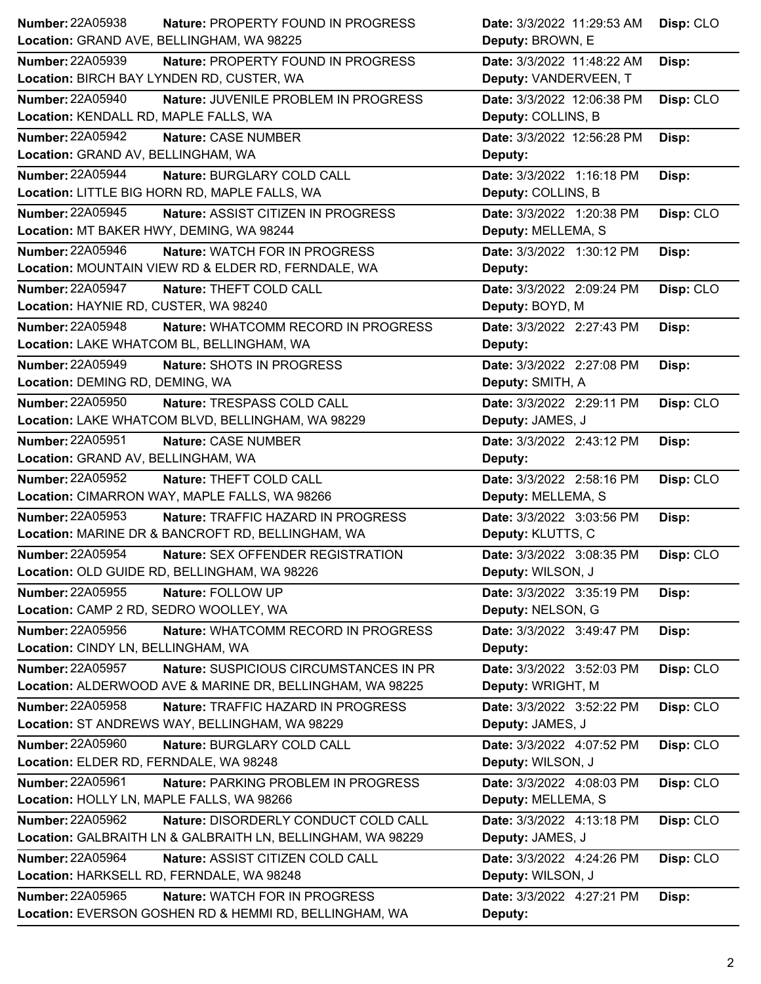| <b>Number: 22A05938</b><br>Nature: PROPERTY FOUND IN PROGRESS  | Date: 3/3/2022 11:29:53 AM | Disp: CLO |
|----------------------------------------------------------------|----------------------------|-----------|
| Location: GRAND AVE, BELLINGHAM, WA 98225                      | Deputy: BROWN, E           |           |
| Number: 22A05939<br>Nature: PROPERTY FOUND IN PROGRESS         | Date: 3/3/2022 11:48:22 AM | Disp:     |
| Location: BIRCH BAY LYNDEN RD, CUSTER, WA                      | Deputy: VANDERVEEN, T      |           |
| Number: 22A05940<br>Nature: JUVENILE PROBLEM IN PROGRESS       | Date: 3/3/2022 12:06:38 PM | Disp: CLO |
| Location: KENDALL RD, MAPLE FALLS, WA                          | Deputy: COLLINS, B         |           |
| <b>Number: 22A05942</b><br>Nature: CASE NUMBER                 | Date: 3/3/2022 12:56:28 PM | Disp:     |
| Location: GRAND AV, BELLINGHAM, WA                             | Deputy:                    |           |
| <b>Number: 22A05944</b><br>Nature: BURGLARY COLD CALL          | Date: 3/3/2022 1:16:18 PM  | Disp:     |
| Location: LITTLE BIG HORN RD, MAPLE FALLS, WA                  | Deputy: COLLINS, B         |           |
| Number: 22A05945<br>Nature: ASSIST CITIZEN IN PROGRESS         | Date: 3/3/2022 1:20:38 PM  | Disp: CLO |
| Location: MT BAKER HWY, DEMING, WA 98244                       | Deputy: MELLEMA, S         |           |
| Number: 22A05946<br>Nature: WATCH FOR IN PROGRESS              | Date: 3/3/2022 1:30:12 PM  | Disp:     |
| Location: MOUNTAIN VIEW RD & ELDER RD, FERNDALE, WA            | Deputy:                    |           |
| <b>Number: 22A05947</b><br>Nature: THEFT COLD CALL             | Date: 3/3/2022 2:09:24 PM  | Disp: CLO |
| Location: HAYNIE RD, CUSTER, WA 98240                          | Deputy: BOYD, M            |           |
| <b>Number: 22A05948</b><br>Nature: WHATCOMM RECORD IN PROGRESS | Date: 3/3/2022 2:27:43 PM  | Disp:     |
| Location: LAKE WHATCOM BL, BELLINGHAM, WA                      | Deputy:                    |           |
| Number: 22A05949<br>Nature: SHOTS IN PROGRESS                  | Date: 3/3/2022 2:27:08 PM  | Disp:     |
| Location: DEMING RD, DEMING, WA                                | Deputy: SMITH, A           |           |
| <b>Number: 22A05950</b><br>Nature: TRESPASS COLD CALL          | Date: 3/3/2022 2:29:11 PM  | Disp: CLO |
| Location: LAKE WHATCOM BLVD, BELLINGHAM, WA 98229              | Deputy: JAMES, J           |           |
| Number: 22A05951<br>Nature: CASE NUMBER                        | Date: 3/3/2022 2:43:12 PM  | Disp:     |
| Location: GRAND AV, BELLINGHAM, WA                             | Deputy:                    |           |
| <b>Number: 22A05952</b><br>Nature: THEFT COLD CALL             | Date: 3/3/2022 2:58:16 PM  | Disp: CLO |
| Location: CIMARRON WAY, MAPLE FALLS, WA 98266                  | Deputy: MELLEMA, S         |           |
|                                                                |                            |           |
| Number: 22A05953<br>Nature: TRAFFIC HAZARD IN PROGRESS         | Date: 3/3/2022 3:03:56 PM  | Disp:     |
| Location: MARINE DR & BANCROFT RD, BELLINGHAM, WA              | Deputy: KLUTTS, C          |           |
| <b>Number: 22A05954</b><br>Nature: SEX OFFENDER REGISTRATION   | Date: 3/3/2022 3:08:35 PM  | Disp: CLO |
| Location: OLD GUIDE RD, BELLINGHAM, WA 98226                   | Deputy: WILSON, J          |           |
| Number: 22A05955<br>Nature: FOLLOW UP                          | Date: 3/3/2022 3:35:19 PM  | Disp:     |
| Location: CAMP 2 RD, SEDRO WOOLLEY, WA                         | Deputy: NELSON, G          |           |
| <b>Number: 22A05956</b><br>Nature: WHATCOMM RECORD IN PROGRESS | Date: 3/3/2022 3:49:47 PM  | Disp:     |
| Location: CINDY LN, BELLINGHAM, WA                             | Deputy:                    |           |
| Number: 22A05957<br>Nature: SUSPICIOUS CIRCUMSTANCES IN PR     | Date: 3/3/2022 3:52:03 PM  | Disp: CLO |
| Location: ALDERWOOD AVE & MARINE DR, BELLINGHAM, WA 98225      | Deputy: WRIGHT, M          |           |
| Number: 22A05958<br>Nature: TRAFFIC HAZARD IN PROGRESS         | Date: 3/3/2022 3:52:22 PM  | Disp: CLO |
| Location: ST ANDREWS WAY, BELLINGHAM, WA 98229                 | Deputy: JAMES, J           |           |
| Number: 22A05960<br>Nature: BURGLARY COLD CALL                 | Date: 3/3/2022 4:07:52 PM  | Disp: CLO |
| Location: ELDER RD, FERNDALE, WA 98248                         | Deputy: WILSON, J          |           |
| Number: 22A05961<br>Nature: PARKING PROBLEM IN PROGRESS        | Date: 3/3/2022 4:08:03 PM  | Disp: CLO |
| Location: HOLLY LN, MAPLE FALLS, WA 98266                      | Deputy: MELLEMA, S         |           |
| Number: 22A05962<br>Nature: DISORDERLY CONDUCT COLD CALL       | Date: 3/3/2022 4:13:18 PM  | Disp: CLO |
| Location: GALBRAITH LN & GALBRAITH LN, BELLINGHAM, WA 98229    | Deputy: JAMES, J           |           |
| <b>Number: 22A05964</b><br>Nature: ASSIST CITIZEN COLD CALL    | Date: 3/3/2022 4:24:26 PM  | Disp: CLO |
| Location: HARKSELL RD, FERNDALE, WA 98248                      | Deputy: WILSON, J          |           |
| Number: 22A05965<br>Nature: WATCH FOR IN PROGRESS              | Date: 3/3/2022 4:27:21 PM  | Disp:     |